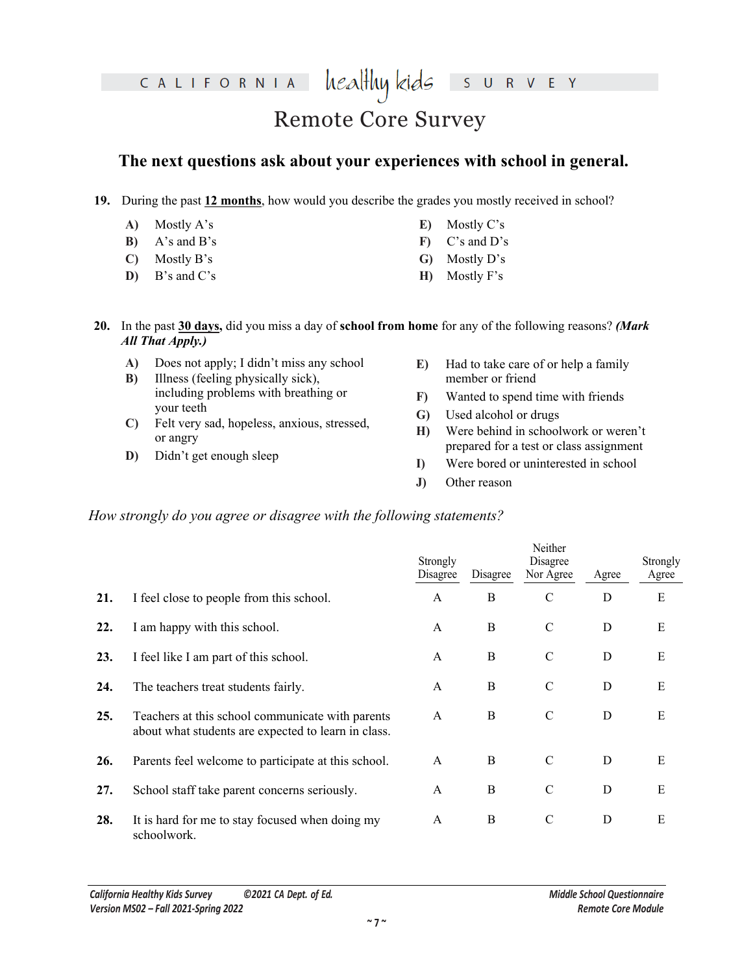healthy kids CALIFORNIA S

## Remote Core Survey

### **The next questions ask about your experiences with school in general.**

- **A)** Mostly A's
- **B)** A's and B's
- **C)** Mostly B's
- **D)** B's and C's
- **E)** Mostly C's
- **F)** C's and D's
- **G)** Mostly D's
- **H)** Mostly F's

- **A)** Does not apply; I didn't miss any school
- **B)** Illness (feeling physically sick), including problems with breathing or your teeth
- **C)** Felt very sad, hopeless, anxious, stressed, or angry
- **D)** Didn't get enough sleep

V E Y

 $R$ 

- **F)** Wanted to spend time with friends
- **G)** Used alcohol or drugs
- **H)** Were behind in schoolwork or weren't prepared for a test or class assignment
- **I)** Were bored or uninterested in school
- **J)** Other reason

|                   | 19. During the past 12 months, how would you describe the grades you mostly received in school?                                    |                      |                                                                      |                                                                                 |             |                         |
|-------------------|------------------------------------------------------------------------------------------------------------------------------------|----------------------|----------------------------------------------------------------------|---------------------------------------------------------------------------------|-------------|-------------------------|
| A)                | Mostly A's                                                                                                                         | E)                   | Mostly C's                                                           |                                                                                 |             |                         |
| B)                | $A$ 's and $B$ 's                                                                                                                  | $\mathbf{F}$         | C's and D's                                                          |                                                                                 |             |                         |
| $\mathbf{C}$      | Mostly B's                                                                                                                         | $\mathbf{G}$         | Mostly D's                                                           |                                                                                 |             |                         |
| D)                | B's and C's                                                                                                                        | H)                   | Mostly F's                                                           |                                                                                 |             |                         |
|                   | 20. In the past 30 days, did you miss a day of school from home for any of the following reasons? (Mark<br><b>All That Apply.)</b> |                      |                                                                      |                                                                                 |             |                         |
| A)<br>B)          | Does not apply; I didn't miss any school<br>Illness (feeling physically sick),                                                     | E)                   | member or friend                                                     | Had to take care of or help a family                                            |             |                         |
|                   | including problems with breathing or<br>your teeth                                                                                 | $\mathbf{F}$         |                                                                      | Wanted to spend time with friends                                               |             |                         |
| $\mathbf{C}$      | Felt very sad, hopeless, anxious, stressed,                                                                                        | $\mathbf{G}$         | Used alcohol or drugs                                                |                                                                                 |             |                         |
|                   | or angry                                                                                                                           | H)                   |                                                                      | Were behind in schoolwork or weren't<br>prepared for a test or class assignment |             |                         |
| D)                | Didn't get enough sleep                                                                                                            | I)                   |                                                                      | Were bored or uninterested in school                                            |             |                         |
|                   |                                                                                                                                    | J)                   | Other reason                                                         |                                                                                 |             |                         |
|                   |                                                                                                                                    |                      | How strongly do you agree or disagree with the following statements? |                                                                                 |             |                         |
|                   |                                                                                                                                    | Strongly<br>Disagree | Disagree                                                             | Neither<br>Disagree<br>Nor Agree                                                | Agree       | Agree                   |
|                   | I feel close to people from this school.                                                                                           | $\mathbf{A}$         | $\bf{B}$                                                             | $\mathbf C$                                                                     | D           | $\mathbf E$             |
|                   | I am happy with this school.                                                                                                       | A                    | $\mathbf B$                                                          | $\mathcal{C}$                                                                   | D           | E                       |
| 21.<br>22.<br>23. | I feel like I am part of this school.                                                                                              | A                    | B                                                                    | $\mathbf C$                                                                     | D           | E                       |
| 24.               | The teachers treat students fairly.                                                                                                | A                    | $\mathbf B$                                                          | $\mathcal{C}$                                                                   | D           | Ε                       |
|                   | Teachers at this school communicate with parents<br>about what students are expected to learn in class.                            | A                    | B                                                                    | $\mathsf{C}$                                                                    | D           | E                       |
| 25.<br>26.        | Parents feel welcome to participate at this school.                                                                                | $\mathbf{A}$         | $\, {\bf B}$                                                         | $\mathcal{C}$                                                                   | $\mathbf D$ | E                       |
| 27.               | School staff take parent concerns seriously.                                                                                       | $\mathbf{A}$         | $\, {\bf B}$                                                         | $\mathcal{C}$                                                                   | D           | Strongly<br>$\mathbf E$ |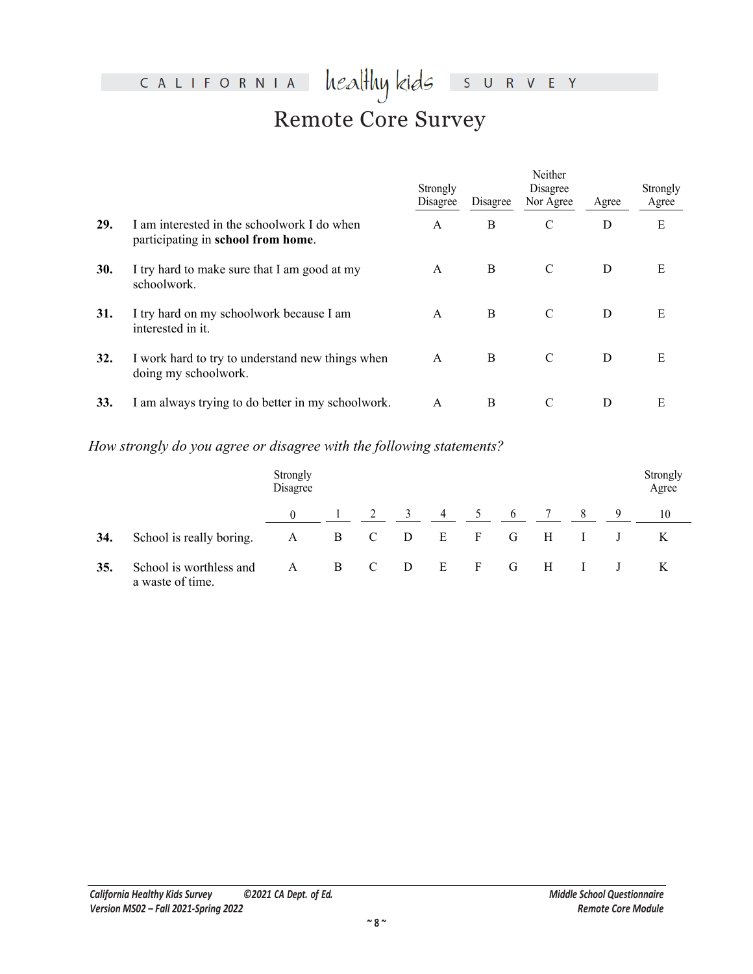#### heal<del>l</del>luy kids CALIFORNIA S U R V E Y Remote Core Survey

|     |                                                                                   |                | Strongly<br>Disagree        | Disagree                 | Neither<br>Disagree<br>Nor Agree | Agree              | Strongly<br>Agree |
|-----|-----------------------------------------------------------------------------------|----------------|-----------------------------|--------------------------|----------------------------------|--------------------|-------------------|
| 29. | I am interested in the schoolwork I do when<br>participating in school from home. |                | $\mathbf{A}$                | $\, {\bf B}$             | C                                | D                  | ${\bf E}$         |
| 30. | I try hard to make sure that I am good at my<br>schoolwork.                       |                | $\mathbf A$                 | $\, {\bf B}$             | $\overline{C}$                   | ${\bf D}$          | ${\bf E}$         |
| 31. | I try hard on my schoolwork because I am<br>interested in it.                     |                | $\boldsymbol{\mathsf{A}}$   | $\boldsymbol{B}$         | $\overline{C}$                   | ${\bf D}$          | ${\bf E}$         |
| 32. | I work hard to try to understand new things when<br>doing my schoolwork.          |                | A                           | $\overline{\mathbf{B}}$  | $\mathbf C$                      | ${\bf D}$          | ${\bf E}$         |
| 33. | I am always trying to do better in my schoolwork.                                 |                | $\overline{A}$              | $\, {\bf B}$             | $\overline{C}$                   | ${\bf D}$          | $\mathbf E$       |
|     | How strongly do you agree or disagree with the following statements?              |                |                             |                          |                                  |                    |                   |
|     | Strongly<br>Disagree                                                              |                |                             |                          |                                  |                    | Strongly<br>Agree |
|     | $\overline{0}$                                                                    | $\overline{c}$ | $\overline{4}$<br>3         | $\sqrt{5}$<br>$\sqrt{6}$ | $\boldsymbol{7}$                 | 8<br>9             | $10\,$            |
| 34. | $\, {\bf B}$<br>School is really boring.<br>$\mathbf{A}$                          | ${\bf C}$      | ${\bf E}$<br>D              | ${\bf F}$<br>$\mathbf G$ | $\mathbf H$                      | $\bf J$<br>$\bf I$ | $\rm K$           |
| 35. | School is worthless and<br>$\mathbf{A}$<br>a waste of time.                       | $\overline{B}$ | $\overline{D}$<br>${\bf E}$ | $\mathbf F$<br>${\bf G}$ | $\, {\rm H}$                     | $\bf{I}$<br>J      | K                 |
|     |                                                                                   |                |                             |                          |                                  |                    |                   |

### *How strongly do you agree or disagree with the following statements?*

| 32. | I work hard to try to understand new things when<br>doing my schoolwork. |                      |                |             |   | A              | $\overline{B}$ |             | $\mathcal{C}$ |                 | D              | E                 |
|-----|--------------------------------------------------------------------------|----------------------|----------------|-------------|---|----------------|----------------|-------------|---------------|-----------------|----------------|-------------------|
| 33. | I am always trying to do better in my schoolwork.                        |                      |                |             |   | Ā              | B              |             | $\mathcal{C}$ |                 | $\mathbf D$    | E                 |
|     | How strongly do you agree or disagree with the following statements?     |                      |                |             |   |                |                |             |               |                 |                |                   |
|     |                                                                          | Strongly<br>Disagree |                |             |   |                |                |             |               |                 |                | Strongly<br>Agree |
|     |                                                                          |                      |                |             |   | $\overline{4}$ | 5              | 6           | 7             | $8\phantom{.0}$ | $\overline{9}$ | 10                |
| 34. | School is really boring.                                                 | A                    | $\, {\bf B}$   | $\mathbf C$ | D | ${\bf E}$      | $\mathbf F$    | ${\bf G}$   | $\, {\rm H}$  | I               | $\bf J$        | $\bf K$           |
| 35. | School is worthless and<br>a waste of time.                              | A                    | $\overline{B}$ |             | D | E              | $\rm F$        | $\mathbf G$ | H             | I               | $_{\rm J}$     | K                 |
|     |                                                                          |                      |                |             |   |                |                |             |               |                 |                |                   |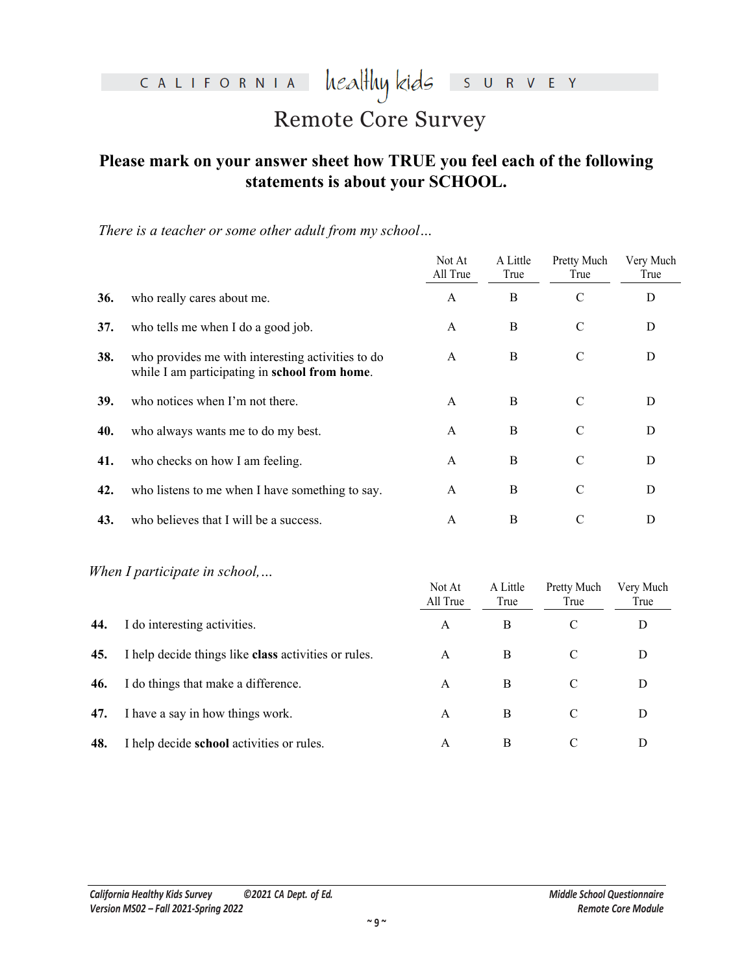heal<del>l</del>luy kids CALIFORNIA

S U R V E Y

### Remote Core Survey

### **Please mark on your answer sheet how TRUE you feel each of the following statements is about your SCHOOL.**

|     | statements is about your SCHOOL.                                                                   |                           |                  |                            |                   |
|-----|----------------------------------------------------------------------------------------------------|---------------------------|------------------|----------------------------|-------------------|
|     | There is a teacher or some other adult from my school                                              |                           |                  |                            |                   |
|     |                                                                                                    | Not At<br>All True        | A Little<br>True | <b>Pretty Much</b><br>True | Very Much<br>True |
| 36. | who really cares about me.                                                                         | $\mathbf{A}$              | $\mathbf B$      | $\mathbf C$                | $\mathbf D$       |
| 37. | who tells me when I do a good job.                                                                 |                           | $\bf{B}$         | $\mathcal{C}$              | D                 |
| 38. | who provides me with interesting activities to do<br>while I am participating in school from home. |                           | $\bf{B}$         | $\mathbf C$                | $\mathbf D$       |
| 39. | who notices when I'm not there.                                                                    | $\mathbf{A}$              | B                | $\mathcal{C}$              | D                 |
| 40. | who always wants me to do my best.                                                                 | $\boldsymbol{\rm{A}}$     | B                | $\mathcal{C}$              | D                 |
| 41. | who checks on how I am feeling.                                                                    | $\mathbf A$               | $\bf{B}$         | $\mathbf C$                | $\mathbf D$       |
| 42. | who listens to me when I have something to say.                                                    |                           | $\bf{B}$         | $\mathbf C$                | $\mathbf D$       |
| 43. | who believes that I will be a success.                                                             | $\boldsymbol{\rm{A}}$     | $\bf{B}$         | $\mathcal{C}$              | D                 |
|     | When I participate in school,                                                                      | Not At<br>All True        | A Little<br>True | Pretty Much<br>True        | Very Much<br>True |
| 44. | I do interesting activities.                                                                       | $\boldsymbol{\mathsf{A}}$ | B                | $\mathcal{C}$              | D                 |
| 45. | I help decide things like class activities or rules.                                               | A                         | $\bf{B}$         | $\mathcal{C}$              | D                 |
| 46. | I do things that make a difference.                                                                | A                         | $\bf{B}$         | $\mathcal{C}$              | D                 |
| 47. | I have a say in how things work.                                                                   | A                         | $\, {\bf B}$     | $\mathcal{C}$              | D                 |
| 48. | I help decide school activities or rules.                                                          | A                         | B                | $\mathcal{C}$              | D                 |

#### *When I participate in school,…*

|     |                                                      | Not At<br>All True | A Little<br>True | Pretty Much<br>True | Very Much<br>True |
|-----|------------------------------------------------------|--------------------|------------------|---------------------|-------------------|
| 44. | I do interesting activities.                         | A                  | B                | C                   | D                 |
| 45. | I help decide things like class activities or rules. | A                  | B                |                     | D                 |
| 46. | I do things that make a difference.                  | A                  | B                |                     | D                 |
| 47. | I have a say in how things work.                     | A                  | B                |                     | D                 |
| 48. | I help decide school activities or rules.            | A                  | B                |                     | D                 |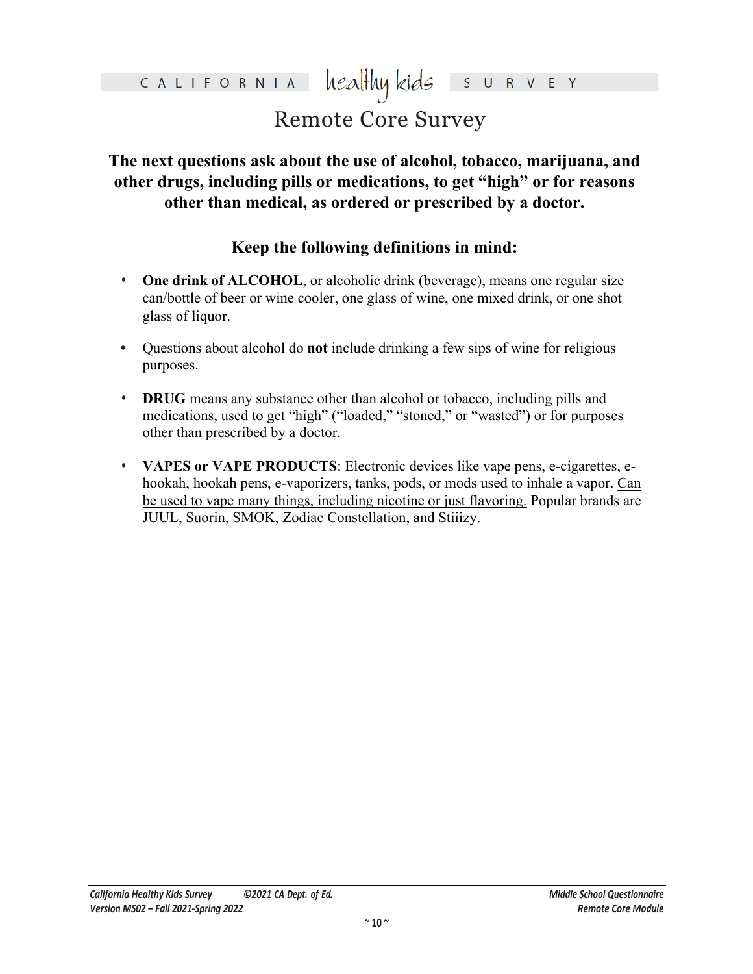#### healthy kids CALIFORNIA

## Remote Core Survey

**The next questions ask about the use of alcohol, tobacco, marijuana, and other drugs, including pills or medications, to get "high" or for reasons other than medical, as ordered or prescribed by a doctor.**

### **Keep the following definitions in mind:**

- **• One drink of ALCOHOL**, or alcoholic drink (beverage), means one regular size can/bottle of beer or wine cooler, one glass of wine, one mixed drink, or one shot glass of liquor.
- **•** Questions about alcohol do **not** include drinking a few sips of wine for religious purposes.
- **• DRUG** means any substance other than alcohol or tobacco, including pills and medications, used to get "high" ("loaded," "stoned," or "wasted") or for purposes other than prescribed by a doctor.
- other drugs, including pills or medications, to get "high" or for reasons<br>other than medical, as ordered or prescribed by a doctor.<br>Keep the following definitions in mind:<br>One drink of ALCOHOL<sub>2</sub> or alcoholic drink (bevera Internation of include drinking a few sips of wine for religiour any substance other than alcohol or tobacco, including pills and sead to get "high" ("loaded," "stoned," or "wasted") or for purposeribed by a doctor.<br>APE PR **• VAPES or VAPE PRODUCTS**: Electronic devices like vape pens, e-cigarettes, ehookah, hookah pens, e-vaporizers, tanks, pods, or mods used to inhale a vapor. Can be used to vape many things, including nicotine or just flavoring. Popular brands are JUUL, Suorin, SMOK, Zodiac Constellation, and Stiiizy.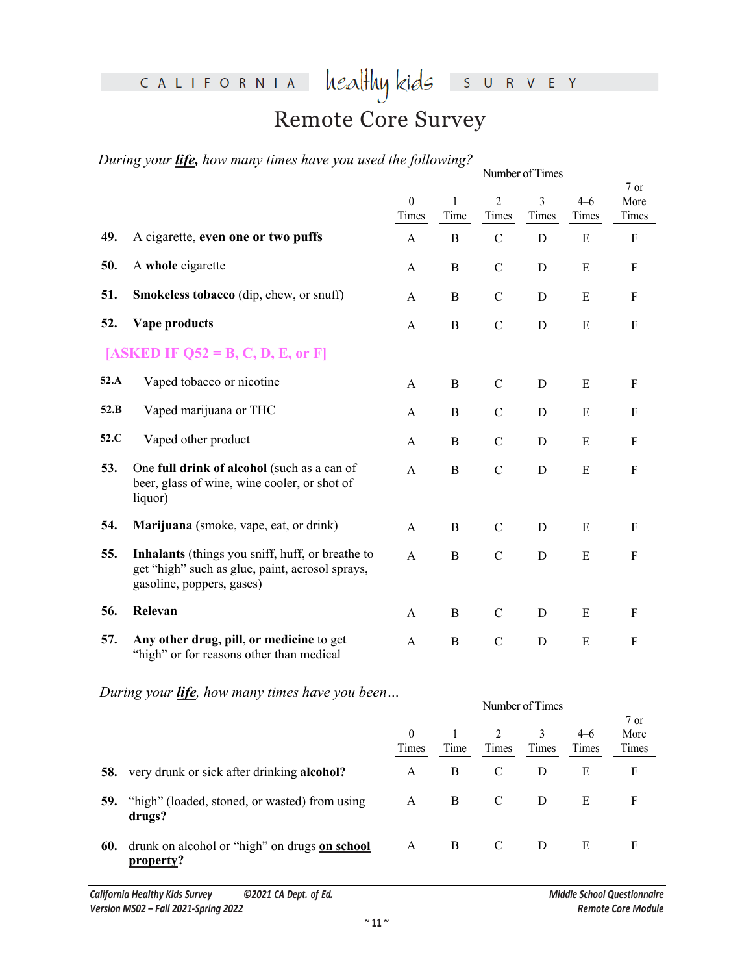## CALIFORNIA

# healthykids survey

## Remote Core Survey

*During your life, how many times have you used the following?*

|      | During your <b>life</b> , how many times have you used the following?                                                            |                           |                |                         | Number of Times |                  |                           |
|------|----------------------------------------------------------------------------------------------------------------------------------|---------------------------|----------------|-------------------------|-----------------|------------------|---------------------------|
|      |                                                                                                                                  | $\overline{0}$<br>Times   | 1<br>Time      | $\overline{2}$<br>Times | 3<br>Times      | $4 - 6$<br>Times | 7 or<br>More<br>Times     |
| 49.  | A cigarette, even one or two puffs                                                                                               | $\mathbf{A}$              | $\, {\bf B}$   | $\mathbf C$             | Ď               | $\mathbf{E}$     | $\mathbf F$               |
| 50.  | A whole cigarette                                                                                                                | $\mathbf{A}$              | $\bf{B}$       | $\mathcal{C}$           | $\mathbf{D}$    | $\mathbf E$      | $\mathbf F$               |
| 51.  | Smokeless tobacco (dip, chew, or snuff)                                                                                          | $\mathbf{A}$              | $\, {\bf B}$   | $\mathbf C$             | D               | ${\bf E}$        | $\mathbf F$               |
| 52.  | Vape products                                                                                                                    | $\boldsymbol{\mathsf{A}}$ | B              | $\mathbf C$             | $\mathbf D$     | ${\bf E}$        | $\mathbf F$               |
|      | [ASKED IF $Q52 = B, C, D, E,$ or F]                                                                                              |                           |                |                         |                 |                  |                           |
| 52.A | Vaped tobacco or nicotine                                                                                                        | A                         | $\overline{B}$ | $\mathcal{C}$           | D               | ${\bf E}$        | $\mathbf F$               |
| 52.B | Vaped marijuana or THC                                                                                                           | $\mathbf{A}$              | $\mathbf B$    | С                       | ${\rm D}$       | ${\bf E}$        | $\mathbf F$               |
| 52.C | Vaped other product                                                                                                              | $\mathbf{A}$              | $\mathbf{B}$   | $\mathbf C$             | $\mathbf D$     | ${\bf E}$        | $\boldsymbol{\mathrm{F}}$ |
| 53.  | One full drink of alcohol (such as a can of<br>beer, glass of wine, wine cooler, or shot of<br>liquor)                           | $\boldsymbol{\mathsf{A}}$ | $\, {\bf B}$   | $\overline{C}$          | $\mathbf D$     | ${\bf E}$        | ${\bf F}$                 |
| 54.  | Marijuana (smoke, vape, eat, or drink)                                                                                           | $\mathbf{A}$              | $\overline{B}$ | $\mathbf C$             | ${\bf D}$       | ${\bf E}$        | $\rm F$                   |
| 55.  | Inhalants (things you sniff, huff, or breathe to<br>get "high" such as glue, paint, aerosol sprays,<br>gasoline, poppers, gases) | $\mathbf{A}$              | $\mathbf B$    | $\mathbf C$             | ${\bf D}$       | ${\bf E}$        | $\mathbf F$               |
| 56.  | Relevan                                                                                                                          | $\mathbf{A}$              | $\bf{B}$       | $\mathbf C$             | $\mathbf D$     | ${\bf E}$        | $\rm F$                   |
| 57.  | Any other drug, pill, or medicine to get<br>"high" or for reasons other than medical                                             | $\mathsf{A}$              | $\, {\bf B}$   | $\mathbf C$             | ${\bf D}$       | E                | ${\bf F}$                 |
|      | During your <i>life</i> , how many times have you been                                                                           |                           |                |                         | Number of Times |                  |                           |
|      |                                                                                                                                  |                           |                |                         |                 |                  | 7 or                      |
|      |                                                                                                                                  | $\boldsymbol{0}$<br>Times | 1<br>Time      | $\overline{2}$<br>Timos | 3<br>Timos      | $4 - 6$<br>Times | More<br>Times             |

|     |                                                            | <b>Number 01 Times</b> |      |       |            |                  |                         |  |  |  |
|-----|------------------------------------------------------------|------------------------|------|-------|------------|------------------|-------------------------|--|--|--|
|     |                                                            | $\theta$<br>Times      | Time | Times | 3<br>Times | $4 - 6$<br>Times | $7$ or<br>More<br>Times |  |  |  |
| 58. | very drunk or sick after drinking alcohol?                 | A                      | B    | C     | D          | Е                | F                       |  |  |  |
| 59. | "high" (loaded, stoned, or wasted) from using<br>drugs?    | A                      | B    |       | D          | E                | F                       |  |  |  |
| 60. | drunk on alcohol or "high" on drugs on school<br>property? | A                      | B    |       | D          | Е                | F                       |  |  |  |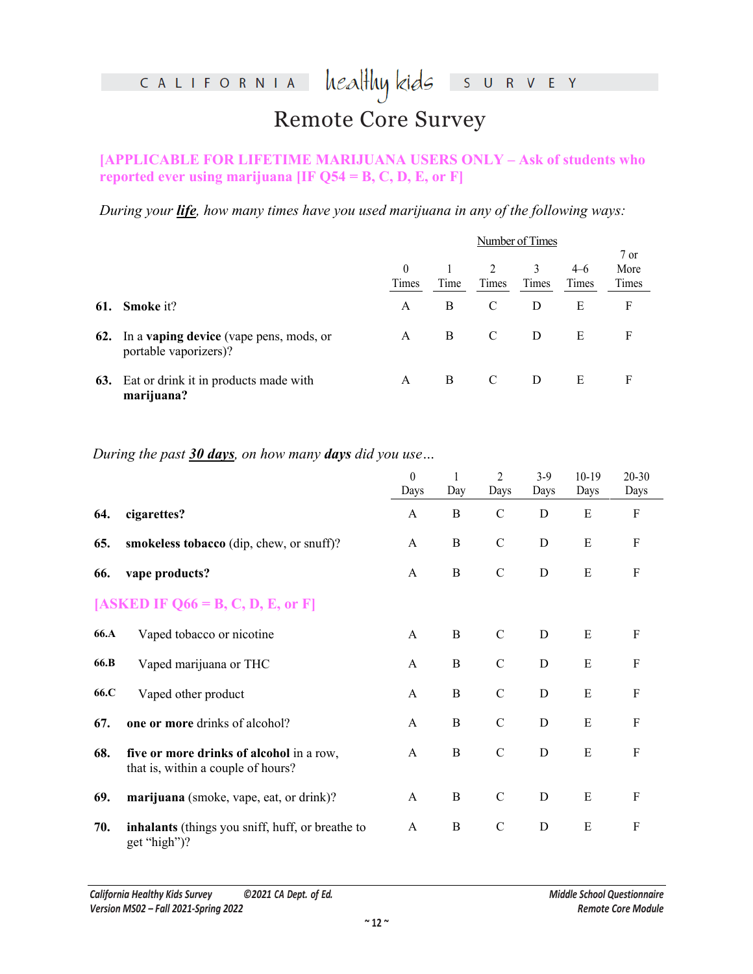#### healthy kids CALIFORNIA  $S$  U R V E Y

## Remote Core Survey

#### **[APPLICABLE FOR LIFETIME MARIJUANA USERS ONLY – Ask of students who reported ever using marijuana [IF Q54 = B, C, D, E, or F]**

|     |                                                                         | Number of Times |      |       |       |         |        |  |  |
|-----|-------------------------------------------------------------------------|-----------------|------|-------|-------|---------|--------|--|--|
|     |                                                                         |                 |      |       |       |         | $7$ or |  |  |
|     |                                                                         | $\theta$        |      |       |       | $4 - 6$ | More   |  |  |
|     |                                                                         | Times           | Time | Times | Times | Times   | Times  |  |  |
| 61. | <b>Smoke</b> it?                                                        | A               | B    |       |       | Е       | F      |  |  |
| 62. | In a <b>vaping device</b> (vape pens, mods, or<br>portable vaporizers)? | A               | В    |       | D     | E       |        |  |  |
| 63. | Eat or drink it in products made with<br>marijuana?                     | А               | в    | C     |       | Ε       |        |  |  |

#### *During the past 30 days, on how many days did you use…*

|      | reported ever using marijuana [IF $Q54 = B, C, D, E,$ or F]                                    |                   |                |                         |                        |                  |                           |  |  |  |
|------|------------------------------------------------------------------------------------------------|-------------------|----------------|-------------------------|------------------------|------------------|---------------------------|--|--|--|
|      | During your <i>life</i> , how many times have you used marijuana in any of the following ways: |                   |                |                         |                        |                  |                           |  |  |  |
|      |                                                                                                |                   |                | Number of Times         |                        |                  |                           |  |  |  |
|      |                                                                                                | $\Omega$<br>Times | Time           | $\overline{2}$<br>Times | $\mathcal{E}$<br>Times | $4 - 6$<br>Times | 7 or<br>More<br>Times     |  |  |  |
| 61.  | Smoke it?                                                                                      | A                 | $\bf{B}$       | $\overline{C}$          | D                      | ${\bf E}$        | $\boldsymbol{\mathrm{F}}$ |  |  |  |
| 62.  | In a vaping device (vape pens, mods, or<br>portable vaporizers)?                               | $\mathbf{A}$      | $\overline{B}$ | $\mathbf C$             | D                      | ${\bf E}$        | $\mathbf F$               |  |  |  |
| 63.  | Eat or drink it in products made with<br>marijuana?                                            | A                 | $\overline{B}$ | $\mathcal{C}$           | D                      | $\mathbf E$      | $\mathbf F$               |  |  |  |
|      |                                                                                                |                   |                |                         |                        |                  |                           |  |  |  |
|      | During the past 30 days, on how many days did you use                                          |                   |                |                         |                        |                  |                           |  |  |  |
|      |                                                                                                | $\theta$<br>Days  | Day            | $\overline{c}$<br>Days  | $3-9$<br>Days          | $10-19$<br>Days  | $20 - 30$<br>Days         |  |  |  |
| 64.  | cigarettes?                                                                                    | $\mathbf{A}$      | $\, {\bf B}$   | $\mathbf C$             | D                      | E                | $\mathbf F$               |  |  |  |
| 65.  | smokeless tobacco (dip, chew, or snuff)?                                                       | $\mathbf{A}$      | $\, {\bf B}$   | $\mathcal{C}$           | $\mathbf D$            | ${\bf E}$        | ${\bf F}$                 |  |  |  |
| 66.  | vape products?                                                                                 | $\mathbf{A}$      | $\bf{B}$       | $\mathbf C$             | $\mathbf D$            | E                | ${\bf F}$                 |  |  |  |
|      | $\overline{E}$ , D, E, or F<br>$[ASKED IF 066 = B.$                                            |                   |                |                         |                        |                  |                           |  |  |  |
| 66.A | Vaped tobacco or nicotine                                                                      | A                 | $\mathbf B$    | $\mathbf C$             | $\mathbf D$            | E                | $\boldsymbol{\mathrm{F}}$ |  |  |  |
| 66.B | Vaped marijuana or THC                                                                         | A                 | $\mathbf B$    | $\mathcal{C}$           | $\mathbf D$            | E                | $\boldsymbol{\mathrm{F}}$ |  |  |  |
| 66.C | Vaped other product                                                                            | A                 | $\bf{B}$       | $\mathcal{C}$           | $\mathbf D$            | E                | $\boldsymbol{\mathrm{F}}$ |  |  |  |
| 67.  | one or more drinks of alcohol?                                                                 | A                 | B              | $\mathcal{C}$           | $\mathbf D$            | ${\bf E}$        | F                         |  |  |  |
| 68.  | five or more drinks of alcohol in a row,<br>that is, within a couple of hours?                 | $\mathbf{A}$      | $\, {\bf B}$   | $\mathbf C$             | ${\bf D}$              | ${\bf E}$        | $\boldsymbol{\mathrm{F}}$ |  |  |  |
| 69.  | marijuana (smoke, vape, eat, or drink)?                                                        | A                 | $\bf{B}$       | $\mathbf C$             | ${\bf D}$              | $\mathbf E$      | $\boldsymbol{\mathrm{F}}$ |  |  |  |
| 70.  | inhalants (things you sniff, huff, or breathe to<br>get "high")?                               | $\mathbf{A}$      | $\, {\bf B}$   | $\mathbf C$             | $\mathbf D$            | E                | $\mathbf F$               |  |  |  |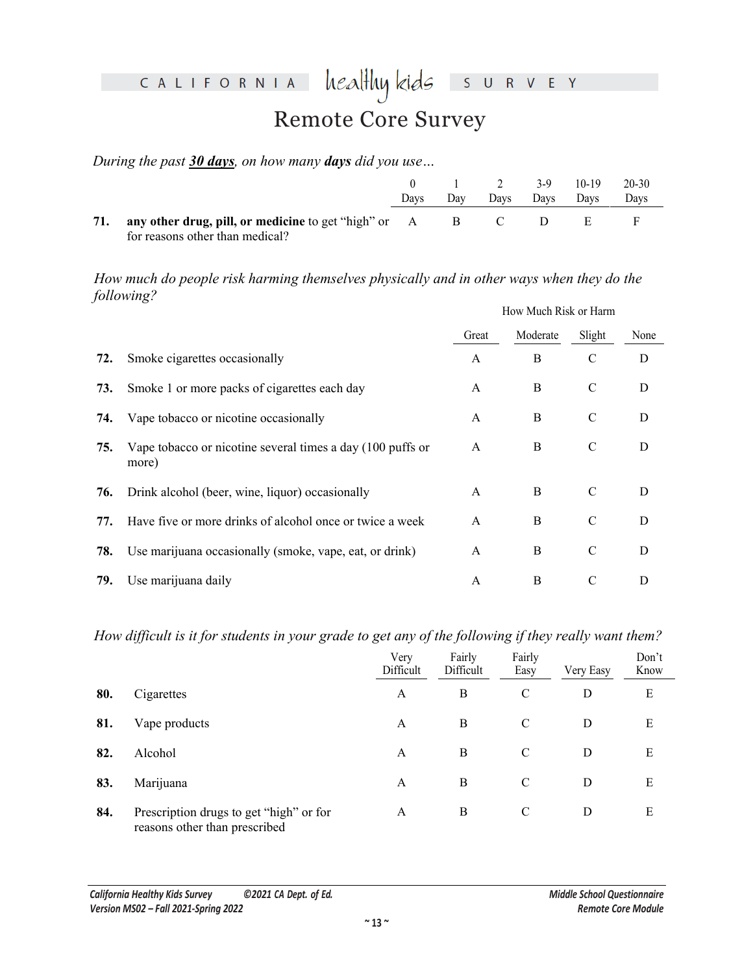#### heal<del>l</del>luy kids CALIFORNIA  $S$  U R V E Y Remote Core Survey

*During the past 30 days, on how many days did you use…*

|     |                                                                                                    | Davs | Dav | $\gamma$<br>Davs | $3-9$<br>Davs | $10-19$<br>Davs | $20 - 30$<br>Davs |
|-----|----------------------------------------------------------------------------------------------------|------|-----|------------------|---------------|-----------------|-------------------|
| 71. | <b>any other drug, pill, or medicine</b> to get "high" or A B C<br>for reasons other than medical? |      |     |                  |               |                 |                   |

|     |                                                                                                        | $\boldsymbol{0}$<br>Days | $\mathbf{1}$<br>Day | $\overline{c}$<br>Days | $3-9$<br>Days  | $10-19$<br>Days       | $20 - 30$<br>Days |
|-----|--------------------------------------------------------------------------------------------------------|--------------------------|---------------------|------------------------|----------------|-----------------------|-------------------|
| 71. | any other drug, pill, or medicine to get "high" or<br>for reasons other than medical?                  | $\mathbf{A}$             | $\, {\bf B}$        | $\mathcal{C}$          | D              | ${\bf E}$             | F                 |
|     | How much do people risk harming themselves physically and in other ways when they do the<br>following? |                          |                     |                        |                |                       |                   |
|     |                                                                                                        |                          |                     |                        |                | How Much Risk or Harm |                   |
|     |                                                                                                        |                          | Great               |                        | Moderate       | Slight                | None              |
| 72. | Smoke cigarettes occasionally                                                                          |                          | A                   |                        | $\mathbf{B}$   | $\mathcal{C}$         | D                 |
| 73. | Smoke 1 or more packs of cigarettes each day                                                           |                          | $\boldsymbol{A}$    |                        | $\mathbf B$    | $\mathcal{C}$         | D                 |
| 74. | Vape tobacco or nicotine occasionally                                                                  |                          |                     |                        | $\bf{B}$       | $\mathcal{C}$         | D                 |
| 75. | Vape tobacco or nicotine several times a day (100 puffs or<br>more)                                    |                          |                     |                        | $\, {\bf B}$   | $\mathbf C$           | D                 |
| 76. | Drink alcohol (beer, wine, liquor) occasionally                                                        |                          | A                   |                        | $\, {\bf B}$   | $\mathbf C$           | D                 |
| 77. | Have five or more drinks of alcohol once or twice a week                                               |                          | A                   |                        | $\bf{B}$       | $\mathcal{C}$         | D                 |
| 78. | Use marijuana occasionally (smoke, vape, eat, or drink)                                                |                          | A                   |                        | $\, {\bf B}$   | C                     | D                 |
| 79. | Use marijuana daily                                                                                    |                          | $\mathbf{A}$        |                        | $\bf{B}$       | $\mathcal{C}$         | $\mathbf D$       |
|     | How difficult is it for students in your grade to get any of the following if they really want them?   |                          |                     |                        |                |                       |                   |
|     |                                                                                                        | Very<br>Difficult        | Fairly<br>Difficult |                        | Fairly<br>Easy | Very Easy             | Don't<br>Know     |
| 80. | Cigarettes                                                                                             | A                        | $\bf{B}$            |                        | $\mathcal{C}$  | $\mathbf D$           | E                 |
| 81. | Vape products                                                                                          | A                        | $\bf{B}$            |                        | $\mathcal{C}$  | $\mathbf D$           | $\mathbf E$       |
|     |                                                                                                        |                          |                     |                        |                |                       |                   |

|     |                                                                          | Very<br>Difficult | Fairly<br>Difficult | Fairly<br>Easy | Very Easy | Don't<br>Know |
|-----|--------------------------------------------------------------------------|-------------------|---------------------|----------------|-----------|---------------|
| 80. | Cigarettes                                                               | A                 | B                   | $\mathcal{C}$  | D         | E             |
| 81. | Vape products                                                            | A                 | B                   | C              | D         | Ε             |
| 82. | Alcohol                                                                  | A                 | B                   | C              | D         | E             |
| 83. | Marijuana                                                                | A                 | B                   | C              | D         | Ε             |
| 84. | Prescription drugs to get "high" or for<br>reasons other than prescribed | A                 | B                   | C              | D         | E             |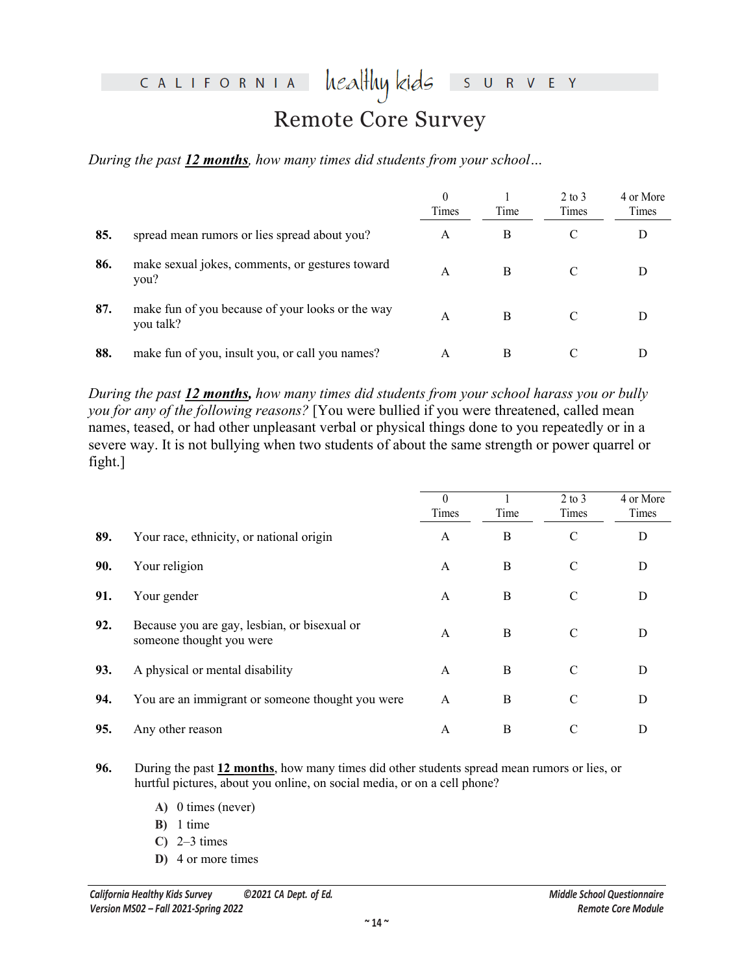### CALIFORNIA

#### healthy kids R V E Y S

## Remote Core Survey

*During the past 12 months, how many times did students from your school…* 

|     |                                                               | 0<br>Times | Time | $2 \text{ to } 3$<br>Times | 4 or More<br>Times |
|-----|---------------------------------------------------------------|------------|------|----------------------------|--------------------|
| 85. | spread mean rumors or lies spread about you?                  | А          | B    |                            | D                  |
| 86. | make sexual jokes, comments, or gestures toward<br>you?       | A          |      |                            |                    |
| 87. | make fun of you because of your looks or the way<br>you talk? | A          |      | $\mathcal{C}$              |                    |
| 88. | make fun of you, insult you, or call you names?               | A          | B    | $\mathcal{C}$              |                    |

|         |                                                                                                                                                                                                                                                                                                                                                                                                  | $\mathbf{0}$<br>Times | Time                 | $2$ to $3$<br>Times | 4 or More<br>Times |
|---------|--------------------------------------------------------------------------------------------------------------------------------------------------------------------------------------------------------------------------------------------------------------------------------------------------------------------------------------------------------------------------------------------------|-----------------------|----------------------|---------------------|--------------------|
| 85.     | spread mean rumors or lies spread about you?                                                                                                                                                                                                                                                                                                                                                     | $\mathbf{A}$          | B                    |                     | $\mathbf D$        |
| 86.     | make sexual jokes, comments, or gestures toward<br>you?                                                                                                                                                                                                                                                                                                                                          | $\mathbf{A}$          | В                    |                     | D                  |
| 87.     | make fun of you because of your looks or the way<br>you talk?                                                                                                                                                                                                                                                                                                                                    |                       |                      | $\overline{C}$      | D                  |
| 88.     | make fun of you, insult you, or call you names?                                                                                                                                                                                                                                                                                                                                                  |                       | $\mathbf B$          | $\mathcal{C}$       | D                  |
|         | During the past 12 months, how many times did students from your school harass you or bully<br>you for any of the following reasons? [You were bullied if you were threatened, called mean<br>names, teased, or had other unpleasant verbal or physical things done to you repeatedly or in a<br>severe way. It is not bullying when two students of about the same strength or power quarrel or |                       |                      |                     |                    |
| fight.] |                                                                                                                                                                                                                                                                                                                                                                                                  |                       |                      |                     |                    |
|         |                                                                                                                                                                                                                                                                                                                                                                                                  | $\theta$<br>Times     | $\mathbf{1}$<br>Time | $2$ to $3$<br>Times | 4 or More<br>Times |
| 89.     | Your race, ethnicity, or national origin                                                                                                                                                                                                                                                                                                                                                         | A                     | B                    | $\mathbf C$         | D                  |
| 90.     | Your religion                                                                                                                                                                                                                                                                                                                                                                                    | A                     | B                    | C                   | D                  |
| 91.     | Your gender                                                                                                                                                                                                                                                                                                                                                                                      | A                     | B                    | $\mathcal{C}$       | D                  |
| 92.     | Because you are gay, lesbian, or bisexual or<br>someone thought you were                                                                                                                                                                                                                                                                                                                         | $\mathbf{A}$          | $\, {\bf B}$         | $\mathcal{C}$       | D                  |
| 93.     | A physical or mental disability                                                                                                                                                                                                                                                                                                                                                                  | A                     | B                    | $\mathcal{C}$       | D                  |
| 94.     | You are an immigrant or someone thought you were                                                                                                                                                                                                                                                                                                                                                 | A                     | B                    | C                   | D                  |

- **96.** During the past **12 months**, how many times did other students spread mean rumors or lies, or hurtful pictures, about you online, on social media, or on a cell phone?
	- **A)** 0 times (never)
	- **B)** 1 time
	- **C)** 2–3 times
	- **D)** 4 or more times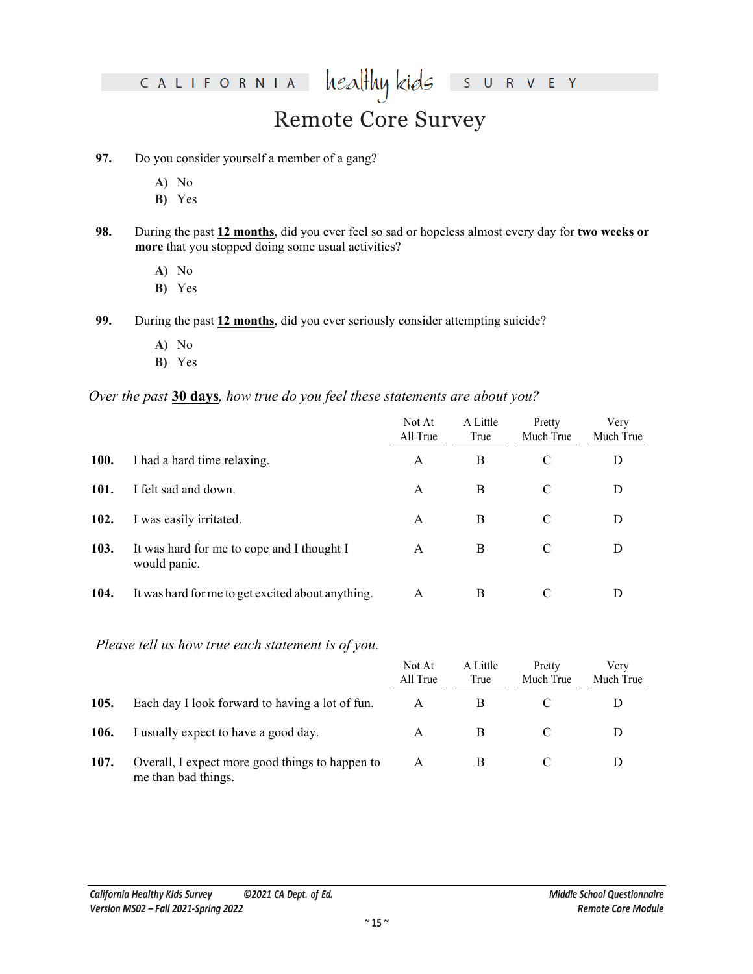#### healthy kids CALIFORNIA

### Remote Core Survey

 $R$  V

S U  $\mathsf E$  $\mathsf{Y}$ 

#### **97.** Do you consider yourself a member of a gang?

- **A)** No
- **B)** Yes
- **98.** During the past **12 months**, did you ever feel so sad or hopeless almost every day for **two weeks or more** that you stopped doing some usual activities?
	- **A)** No
	- **B)** Yes
- **99.** During the past **12 months**, did you ever seriously consider attempting suicide?
	- **A)** No
	- **B)** Yes

#### *Over the past* **30 days***, how true do you feel these statements are about you?*

|      | A) No<br>B) Yes                                                                                                                                         |                    |                  |                     |                   |
|------|---------------------------------------------------------------------------------------------------------------------------------------------------------|--------------------|------------------|---------------------|-------------------|
| 98.  | During the past 12 months, did you ever feel so sad or hopeless almost every day for two weeks or<br>more that you stopped doing some usual activities? |                    |                  |                     |                   |
|      | A) No<br>B) Yes                                                                                                                                         |                    |                  |                     |                   |
| 99.  | During the past 12 months, did you ever seriously consider attempting suicide?                                                                          |                    |                  |                     |                   |
|      | A) No<br>B) Yes                                                                                                                                         |                    |                  |                     |                   |
|      | Over the past 30 days, how true do you feel these statements are about you?                                                                             |                    |                  |                     |                   |
|      |                                                                                                                                                         | Not At<br>All True | A Little<br>True | Pretty<br>Much True | Very<br>Much True |
| 100. | I had a hard time relaxing.                                                                                                                             | A                  | $\bf{B}$         | $\mathcal{C}$       | D                 |
| 101. | I felt sad and down.                                                                                                                                    | A                  | B                | $\mathcal{C}$       | D                 |
| 102. | I was easily irritated.                                                                                                                                 | Α                  | $\bf{B}$         | $\mathcal{C}$       | D                 |
| 103. | It was hard for me to cope and I thought I<br>would panic.                                                                                              | $\mathbf{A}$       | $\mathbf B$      | $\mathcal{C}$       | D                 |
| 104. | It was hard for me to get excited about anything.                                                                                                       | $\boldsymbol{A}$   | $\bf{B}$         | $\mathcal{C}$       | D                 |
|      | Please tell us how true each statement is of you.                                                                                                       |                    |                  |                     |                   |
|      |                                                                                                                                                         | Not At<br>All True | A Little<br>True | Pretty<br>Much True | Very<br>Much True |
| 105. | Each day I look forward to having a lot of fun.                                                                                                         | $\boldsymbol{A}$   | $\bf{B}$         | $\mathcal{C}$       | D                 |
| 106. | I usually expect to have a good day.                                                                                                                    | A                  | $\bf{B}$         | $\mathcal{C}$       | D                 |

#### *Please tell us how true each statement is of you.*

|      |                                                                        | Not At<br>All True | A Little<br>True | Pretty<br>Much True | Verv<br>Much True |
|------|------------------------------------------------------------------------|--------------------|------------------|---------------------|-------------------|
| 105. | Each day I look forward to having a lot of fun.                        |                    |                  |                     |                   |
| 106. | I usually expect to have a good day.                                   | А                  |                  |                     |                   |
| 107. | Overall, I expect more good things to happen to<br>me than bad things. | А                  |                  |                     |                   |